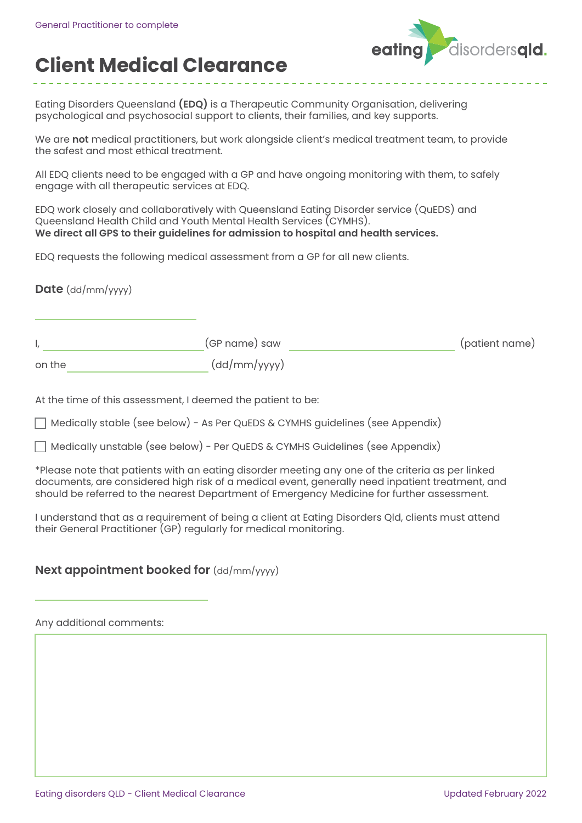

## **Client Medical Clearance**

Eating Disorders Queensland **(EDQ)** is a Therapeutic Community Organisation, delivering psychological and psychosocial support to clients, their families, and key supports.

We are **not** medical practitioners, but work alongside client's medical treatment team, to provide the safest and most ethical treatment.

All EDQ clients need to be engaged with a GP and have ongoing monitoring with them, to safely engage with all therapeutic services at EDQ.

EDQ work closely and collaboratively with Queensland Eating Disorder service (QuEDS) and Queensland Health Child and Youth Mental Health Services (CYMHS). **We direct all GPS to their guidelines for admission to hospital and health services.**

EDQ requests the following medical assessment from a GP for all new clients.

**Date** (dd/mm/yyyy)

|        | (GP name) saw | (patient name) |
|--------|---------------|----------------|
| on the | (dd/mm/yyyy)  |                |

At the time of this assessment, I deemed the patient to be:

Medically stable (see below) - As Per QuEDS & CYMHS guidelines (see Appendix)

Medically unstable (see below) - Per QuEDS & CYMHS Guidelines (see Appendix)

\*Please note that patients with an eating disorder meeting any one of the criteria as per linked documents, are considered high risk of a medical event, generally need inpatient treatment, and should be referred to the nearest Department of Emergency Medicine for further assessment.

I understand that as a requirement of being a client at Eating Disorders Qld, clients must attend their General Practitioner (GP) regularly for medical monitoring.

## **Next appointment booked for**  $(dd/mm/yyyy)$

Any additional comments: